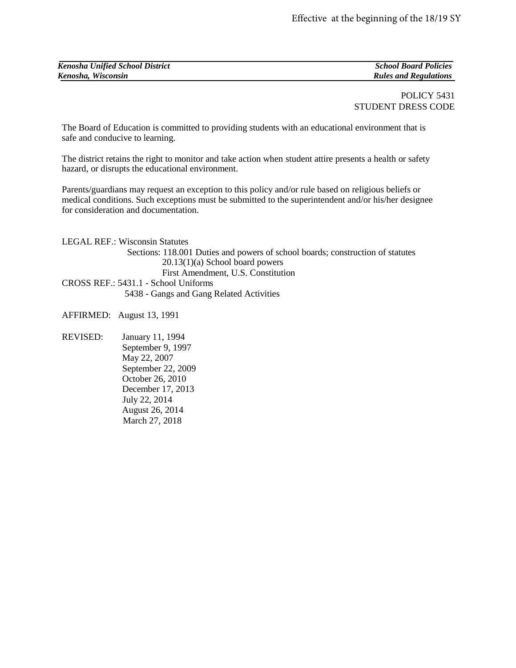| <b>Kenosha Unified School District</b> | <b>School Board Policies</b> |
|----------------------------------------|------------------------------|
| Kenosha, Wisconsin                     | <b>Rules and Regulations</b> |

## POLICY 5431 STUDENT DRESS CODE

The Board of Education is committed to providing students with an educational environment that is safe and conducive to learning.

The district retains the right to monitor and take action when student attire presents a health or safety hazard, or disrupts the educational environment.

Parents/guardians may request an exception to this policy and/or rule based on religious beliefs or medical conditions. Such exceptions must be submitted to the superintendent and/or his/her designee for consideration and documentation.

LEGAL REF.: Wisconsin Statutes Sections: 118.001 Duties and powers of school boards; construction of statutes 20.13(1)(a) School board powers First Amendment, U.S. Constitution CROSS REF.: 5431.1 - School Uniforms 5438 - Gangs and Gang Related Activities

AFFIRMED:August 13, 1991

REVISED:January 11, 1994 September 9, 1997 May 22, 2007 September 22, 2009 October 26, 2010 December 17, 2013 July 22, 2014 August 26, 2014 March 27, 2018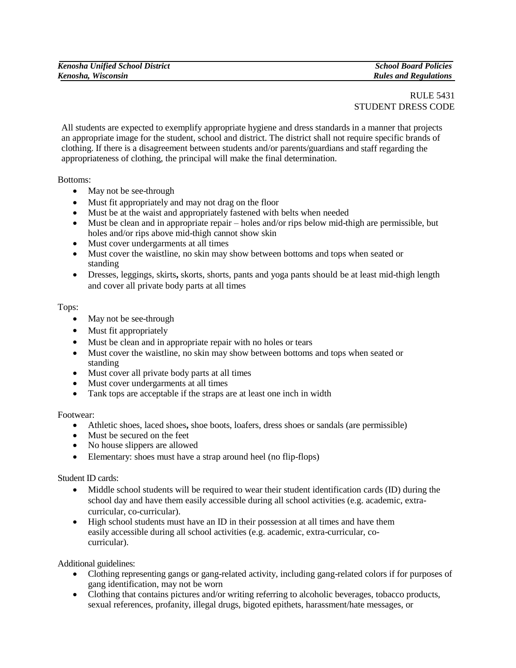## RULE 5431 STUDENT DRESS CODE

All students are expected to exemplify appropriate hygiene and dress standards in a manner that projects an appropriate image for the student, school and district. The district shall not require specific brands of clothing. If there is a disagreement between students and/or parents/guardians and staff regarding the appropriateness of clothing, the principal will make the final determination.

Bottoms:

- May not be see-through
- Must fit appropriately and may not drag on the floor
- Must be at the waist and appropriately fastened with belts when needed
- Must be clean and in appropriate repair holes and/or rips below mid-thigh are permissible, but holes and/or rips above mid-thigh cannot show skin
- Must cover undergarments at all times
- Must cover the waistline, no skin may show between bottoms and tops when seated or standing
- Dresses, leggings, skirts**,** skorts, shorts, pants and yoga pants should be at least mid-thigh length and cover all private body parts at all times

## Tops:

- May not be see-through
- Must fit appropriately
- Must be clean and in appropriate repair with no holes or tears
- Must cover the waistline, no skin may show between bottoms and tops when seated or standing
- Must cover all private body parts at all times
- Must cover undergarments at all times
- Tank tops are acceptable if the straps are at least one inch in width

Footwear:

- Athletic shoes, laced shoes**,** shoe boots, loafers, dress shoes or sandals (are permissible)
- Must be secured on the feet
- No house slippers are allowed
- Elementary: shoes must have a strap around heel (no flip-flops)

Student ID cards:

- Middle school students will be required to wear their student identification cards (ID) during the school day and have them easily accessible during all school activities (e.g. academic, extracurricular, co-curricular).
- High school students must have an ID in their possession at all times and have them easily accessible during all school activities (e.g. academic, extra-curricular, cocurricular).

Additional guidelines:

- Clothing representing gangs or gang-related activity, including gang-related colors if for purposes of gang identification, may not be worn
- Clothing that contains pictures and/or writing referring to alcoholic beverages, tobacco products, sexual references, profanity, illegal drugs, bigoted epithets, harassment/hate messages, or